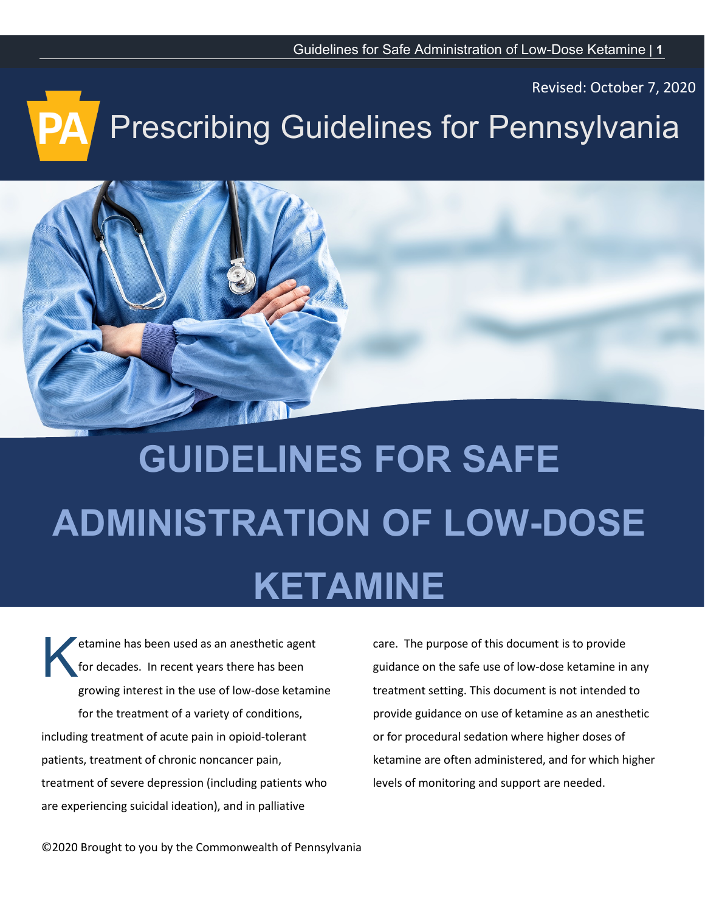Revised: October 7, 2020

# Prescribing Guidelines for Pennsylvania



# **GUIDELINES FOR SAFE ADMINISTRATION OF LOW-DOSE KETAMINE**

etamine has been used as an anesthetic agent for decades. In recent years there has been growing interest in the use of low-dose ketamine for the treatment of a variety of conditions, including treatment of acute pain in opioid-tolerant patients, treatment of chronic noncancer pain, treatment of severe depression (including patients who are experiencing suicidal ideation), and in palliative K

care. The purpose of this document is to provide guidance on the safe use of low-dose ketamine in any treatment setting. This document is not intended to provide guidance on use of ketamine as an anesthetic or for procedural sedation where higher doses of ketamine are often administered, and for which higher levels of monitoring and support are needed.

©2020 Brought to you by the Commonwealth of Pennsylvania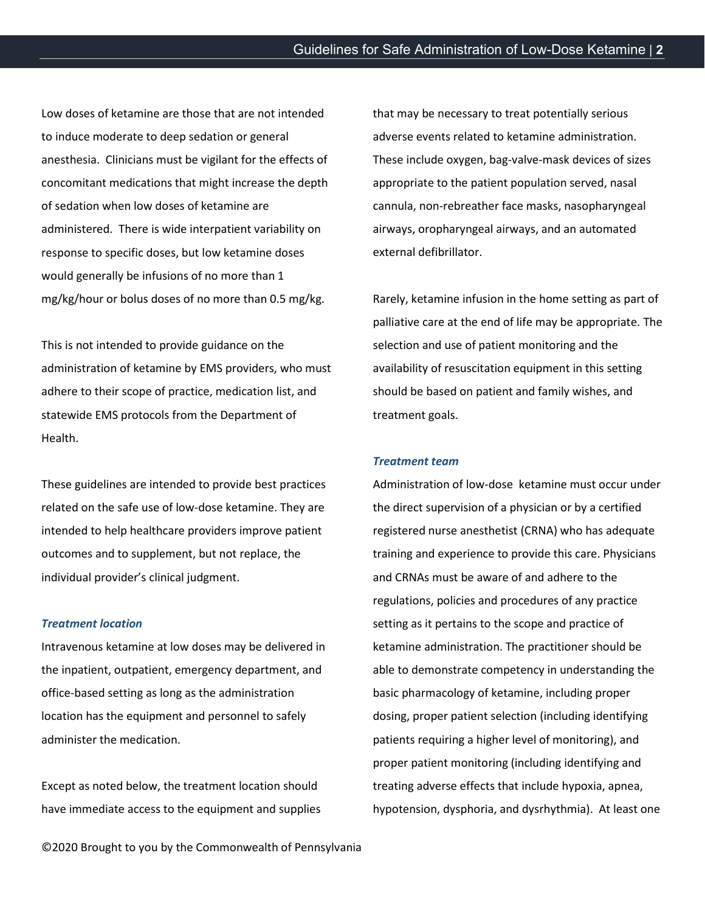Low doses of ketamine are those that are not intended to induce moderate to deep sedation or general anesthesia. Clinicians must be vigilant for the effects of concomitant medications that might increase the depth of sedation when low doses of ketamine are administered. There is wide interpatient variability on response to specific doses, but low ketamine doses would generally be infusions of no more than 1 mg/kg/hour or bolus doses of no more than 0.5 mg/kg.

This is not intended to provide guidance on the administration of ketamine by EMS providers, who must adhere to their scope of practice, medication list, and statewide EMS protocols from the Department of Health.

These guidelines are intended to provide best practices related on the safe use of low-dose ketamine. They are intended to help healthcare providers improve patient outcomes and to supplement, but not replace, the individual provider's clinical judgment.

# *Treatment location*

Intravenous ketamine at low doses may be delivered in the inpatient, outpatient, emergency department, and office-based setting as long as the administration location has the equipment and personnel to safely administer the medication.

Except as noted below, the treatment location should have immediate access to the equipment and supplies

that may be necessary to treat potentially serious adverse events related to ketamine administration. These include oxygen, bag-valve-mask devices of sizes appropriate to the patient population served, nasal cannula, non-rebreather face masks, nasopharyngeal airways, oropharyngeal airways, and an automated external defibrillator.

Rarely, ketamine infusion in the home setting as part of palliative care at the end of life may be appropriate. The selection and use of patient monitoring and the availability of resuscitation equipment in this setting should be based on patient and family wishes, and treatment goals.

# *Treatment team*

Administration of low-dose ketamine must occur under the direct supervision of a physician or by a certified registered nurse anesthetist (CRNA) who has adequate training and experience to provide this care. Physicians and CRNAs must be aware of and adhere to the regulations, policies and procedures of any practice setting as it pertains to the scope and practice of ketamine administration. The practitioner should be able to demonstrate competency in understanding the basic pharmacology of ketamine, including proper dosing, proper patient selection (including identifying patients requiring a higher level of monitoring), and proper patient monitoring (including identifying and treating adverse effects that include hypoxia, apnea, hypotension, dysphoria, and dysrhythmia). At least one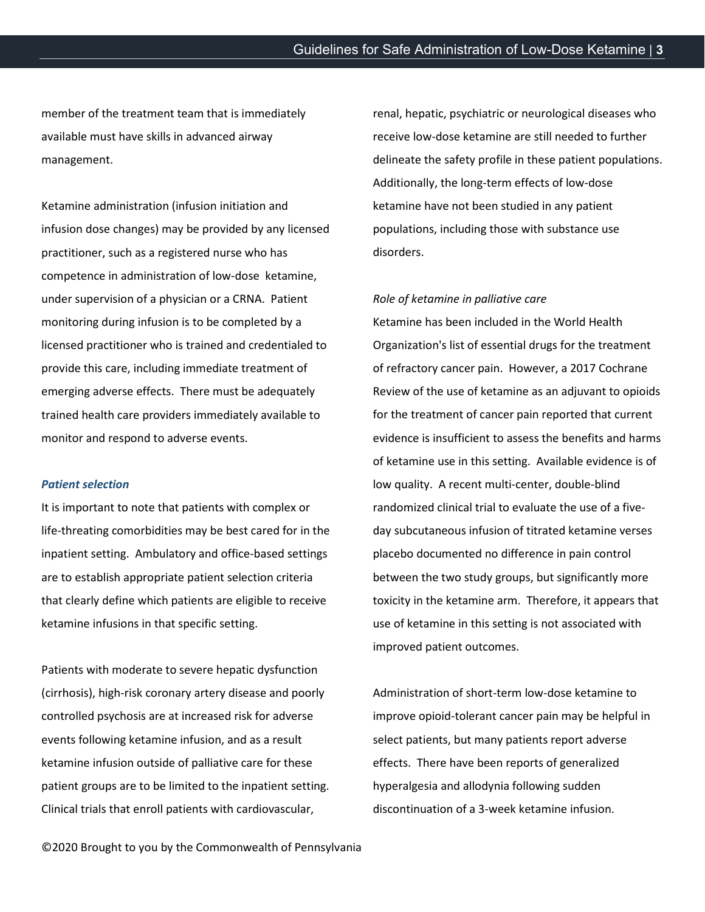member of the treatment team that is immediately available must have skills in advanced airway management.

Ketamine administration (infusion initiation and infusion dose changes) may be provided by any licensed practitioner, such as a registered nurse who has competence in administration of low-dose ketamine, under supervision of a physician or a CRNA. Patient monitoring during infusion is to be completed by a licensed practitioner who is trained and credentialed to provide this care, including immediate treatment of emerging adverse effects. There must be adequately trained health care providers immediately available to monitor and respond to adverse events.

### *Patient selection*

It is important to note that patients with complex or life-threating comorbidities may be best cared for in the inpatient setting. Ambulatory and office-based settings are to establish appropriate patient selection criteria that clearly define which patients are eligible to receive ketamine infusions in that specific setting.

Patients with moderate to severe hepatic dysfunction (cirrhosis), high-risk coronary artery disease and poorly controlled psychosis are at increased risk for adverse events following ketamine infusion, and as a result ketamine infusion outside of palliative care for these patient groups are to be limited to the inpatient setting. Clinical trials that enroll patients with cardiovascular,

renal, hepatic, psychiatric or neurological diseases who receive low-dose ketamine are still needed to further delineate the safety profile in these patient populations. Additionally, the long-term effects of low-dose ketamine have not been studied in any patient populations, including those with substance use disorders.

# *Role of ketamine in palliative care*

Ketamine has been included in the World Health Organization's list of essential drugs for the treatment of refractory cancer pain. However, a 2017 Cochrane Review of the use of ketamine as an adjuvant to opioids for the treatment of cancer pain reported that current evidence is insufficient to assess the benefits and harms of ketamine use in this setting. Available evidence is of low quality. A recent multi-center, double-blind randomized clinical trial to evaluate the use of a fiveday subcutaneous infusion of titrated ketamine verses placebo documented no difference in pain control between the two study groups, but significantly more toxicity in the ketamine arm. Therefore, it appears that use of ketamine in this setting is not associated with improved patient outcomes.

Administration of short-term low-dose ketamine to improve opioid-tolerant cancer pain may be helpful in select patients, but many patients report adverse effects. There have been reports of generalized hyperalgesia and allodynia following sudden discontinuation of a 3-week ketamine infusion.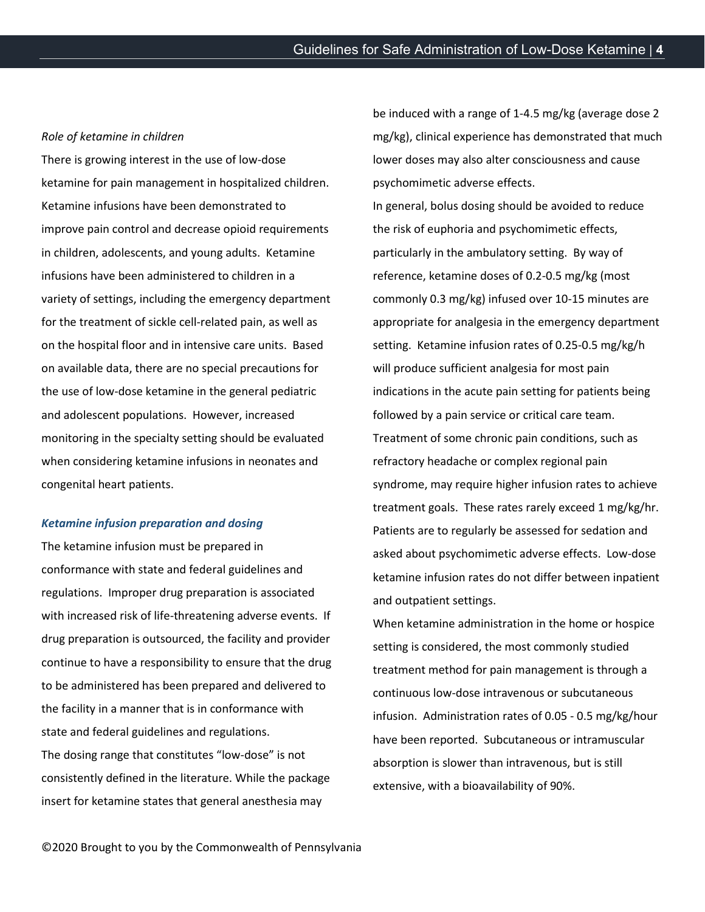#### *Role of ketamine in children*

There is growing interest in the use of low-dose ketamine for pain management in hospitalized children. Ketamine infusions have been demonstrated to improve pain control and decrease opioid requirements in children, adolescents, and young adults. Ketamine infusions have been administered to children in a variety of settings, including the emergency department for the treatment of sickle cell-related pain, as well as on the hospital floor and in intensive care units. Based on available data, there are no special precautions for the use of low-dose ketamine in the general pediatric and adolescent populations. However, increased monitoring in the specialty setting should be evaluated when considering ketamine infusions in neonates and congenital heart patients.

#### *Ketamine infusion preparation and dosing*

The ketamine infusion must be prepared in conformance with state and federal guidelines and regulations. Improper drug preparation is associated with increased risk of life-threatening adverse events. If drug preparation is outsourced, the facility and provider continue to have a responsibility to ensure that the drug to be administered has been prepared and delivered to the facility in a manner that is in conformance with state and federal guidelines and regulations. The dosing range that constitutes "low-dose" is not consistently defined in the literature. While the package insert for ketamine states that general anesthesia may

be induced with a range of 1-4.5 mg/kg (average dose 2 mg/kg), clinical experience has demonstrated that much lower doses may also alter consciousness and cause psychomimetic adverse effects. In general, bolus dosing should be avoided to reduce the risk of euphoria and psychomimetic effects, particularly in the ambulatory setting. By way of reference, ketamine doses of 0.2-0.5 mg/kg (most commonly 0.3 mg/kg) infused over 10-15 minutes are appropriate for analgesia in the emergency department setting. Ketamine infusion rates of 0.25-0.5 mg/kg/h will produce sufficient analgesia for most pain indications in the acute pain setting for patients being followed by a pain service or critical care team. Treatment of some chronic pain conditions, such as refractory headache or complex regional pain syndrome, may require higher infusion rates to achieve treatment goals. These rates rarely exceed 1 mg/kg/hr. Patients are to regularly be assessed for sedation and asked about psychomimetic adverse effects. Low-dose ketamine infusion rates do not differ between inpatient and outpatient settings.

When ketamine administration in the home or hospice setting is considered, the most commonly studied treatment method for pain management is through a continuous low-dose intravenous or subcutaneous infusion. Administration rates of 0.05 - 0.5 mg/kg/hour have been reported. Subcutaneous or intramuscular absorption is slower than intravenous, but is still extensive, with a bioavailability of 90%.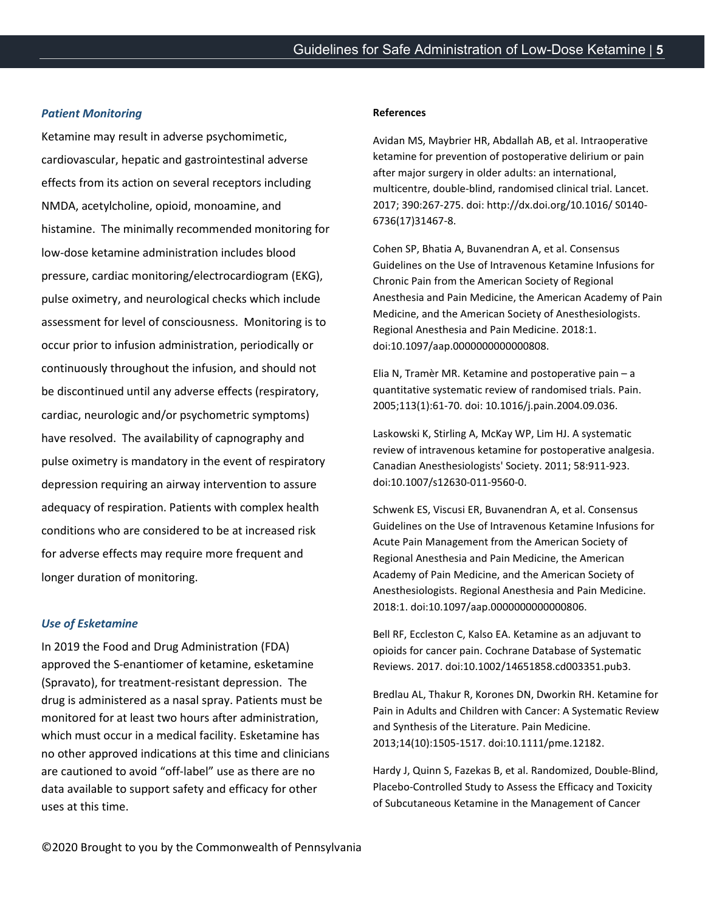# *Patient Monitoring*

Ketamine may result in adverse psychomimetic, cardiovascular, hepatic and gastrointestinal adverse effects from its action on several receptors including NMDA, acetylcholine, opioid, monoamine, and histamine. The minimally recommended monitoring for low-dose ketamine administration includes blood pressure, cardiac monitoring/electrocardiogram (EKG), pulse oximetry, and neurological checks which include assessment for level of consciousness. Monitoring is to occur prior to infusion administration, periodically or continuously throughout the infusion, and should not be discontinued until any adverse effects (respiratory, cardiac, neurologic and/or psychometric symptoms) have resolved. The availability of capnography and pulse oximetry is mandatory in the event of respiratory depression requiring an airway intervention to assure adequacy of respiration. Patients with complex health conditions who are considered to be at increased risk for adverse effects may require more frequent and longer duration of monitoring.

# *Use of Esketamine*

In 2019 the Food and Drug Administration (FDA) approved the S-enantiomer of ketamine, esketamine (Spravato), for treatment-resistant depression. The drug is administered as a nasal spray. Patients must be monitored for at least two hours after administration, which must occur in a medical facility. Esketamine has no other approved indications at this time and clinicians are cautioned to avoid "off-label" use as there are no data available to support safety and efficacy for other uses at this time.

#### **References**

Avidan MS, Maybrier HR, Abdallah AB, et al. Intraoperative ketamine for prevention of postoperative delirium or pain after major surgery in older adults: an international, multicentre, double-blind, randomised clinical trial. Lancet. 2017; 390:267-275. doi: http://dx.doi.org/10.1016/ S0140- 6736(17)31467-8.

Cohen SP, Bhatia A, Buvanendran A, et al. Consensus Guidelines on the Use of Intravenous Ketamine Infusions for Chronic Pain from the American Society of Regional Anesthesia and Pain Medicine, the American Academy of Pain Medicine, and the American Society of Anesthesiologists. Regional Anesthesia and Pain Medicine. 2018:1. doi:10.1097/aap.0000000000000808.

Elia N, Tramèr MR. Ketamine and postoperative pain – a quantitative systematic review of randomised trials. Pain. 2005;113(1):61-70. doi: 10.1016/j.pain.2004.09.036.

Laskowski K, Stirling A, McKay WP, Lim HJ. A systematic review of intravenous ketamine for postoperative analgesia. Canadian Anesthesiologists' Society. 2011; 58:911-923. doi:10.1007/s12630-011-9560-0.

Schwenk ES, Viscusi ER, Buvanendran A, et al. Consensus Guidelines on the Use of Intravenous Ketamine Infusions for Acute Pain Management from the American Society of Regional Anesthesia and Pain Medicine, the American Academy of Pain Medicine, and the American Society of Anesthesiologists. Regional Anesthesia and Pain Medicine. 2018:1. doi:10.1097/aap.0000000000000806.

Bell RF, Eccleston C, Kalso EA. Ketamine as an adjuvant to opioids for cancer pain. Cochrane Database of Systematic Reviews. 2017. doi:10.1002/14651858.cd003351.pub3.

Bredlau AL, Thakur R, Korones DN, Dworkin RH. Ketamine for Pain in Adults and Children with Cancer: A Systematic Review and Synthesis of the Literature. Pain Medicine. 2013;14(10):1505-1517. doi:10.1111/pme.12182.

Hardy J, Quinn S, Fazekas B, et al. Randomized, Double-Blind, Placebo-Controlled Study to Assess the Efficacy and Toxicity of Subcutaneous Ketamine in the Management of Cancer